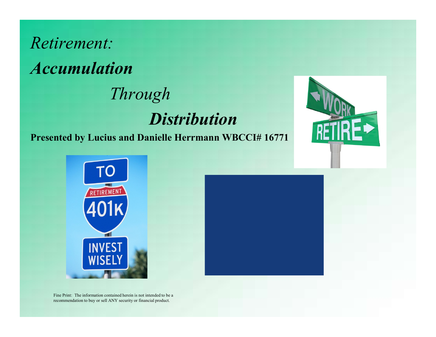







Fine Print: The information contained herein is not intended to be a recommendation to buy or sell ANY security or financial product.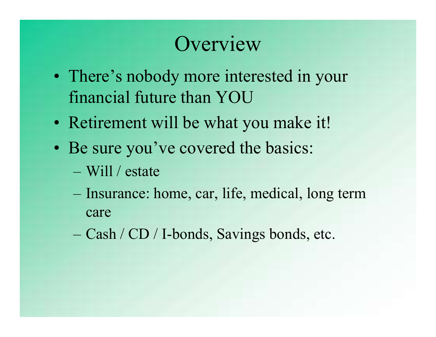### **Overview**

- Overview<br>• There's nobody more interested in your<br>financial future than YOU financial future than YOU • There's nobody more interested in your<br>
• There's nobody more interested in your<br>
• Retirement will be what you make it!<br>
• Be sure you've covered the basics: • There's nobody more interested in your<br>
• financial future than YOU<br>
• Retirement will be what you make it!<br>
• Be sure you've covered the basics:<br>
– Will / estate Fhere's nobody more interested in your<br>
inancial future than YOU<br>
Retirement will be what you make it!<br>
Be sure you've covered the basics:<br>
— Will / estate<br>
— Insurance: home, car, life, medical, long term<br>
care<br>
— Gosh /
- 
- -
- care mancial future than YOU<br>
Retirement will be what you make it!<br>
Be sure you've covered the basics:<br>
– Will / estate<br>
– Insurance: home, car, life, medical, long<br>
care<br>
– Cash / CD / I-bonds, Savings bonds, etc.
	-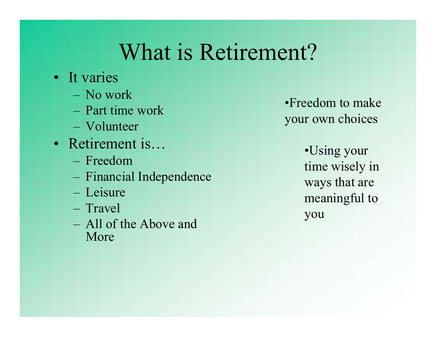### What is Retirement? What is Retir<br>
• It varies<br>
– No work<br>
– Part time work What is Retirer What is Retirer<br>
t varies<br>
– No work<br>
– Part time work<br>
– Volunteer<br>
Retirement is... What is Retirer<br>
t varies<br>
– No work<br>
– Part time work<br>
– Volunteer<br>
Retirement is...<br>
– Freedom What is Retirement?<br>
• It varies<br>
– No work<br>
– Part time work<br>
– Volunteer<br>
• Retirement is…<br>
– Freedom<br>
– Freedom<br>
– Financial Independence<br>
wave What is Retirer<br>
t varies<br>
– No work<br>
– Part time work<br>
– Volunteer<br>
Retirement is...<br>
– Freedom<br>
– Financial Independence<br>
– Leisure WILAL IS KEUIEL<br>
t varies<br>
- No work<br>
- Part time work<br>
- Volunteer<br>
Retirement is...<br>
- Freedom<br>
- Financial Independence<br>
- Leisure<br>
- Travel<br>
- All of the Above and

- -
	-
	-
- -
	-
	-
	-
- t varies<br>
 No work<br>
 Part time work<br>
 Volunteer<br>
Retirement is...<br>
 Freedom<br>
 Financial Independence<br>
 Leisure<br>
 Travel<br>
 All of the Above and<br>
More - No work<br>
- Part time work<br>
- Volunteer<br>
Retirement is...<br>
- Freedom<br>
- Financial Independence<br>
- Leisure<br>
- Travel<br>
- All of the Above and<br>
More More

•Freedom to make your own choices

•Using your What is Retirement?<br>
t varies<br>
- No work<br>
- Part time work<br>
- Part time work<br>
- Volunteer<br>
Retirement is...<br>
- Freedom<br>
- Freedom<br>
- Freedom<br>
- Freedom<br>
- Freedom<br>
- Freedom<br>
- Freedom<br>
- Freedom<br>
- Freedom<br>
- Freedom<br>
- F ways that are meaningful to you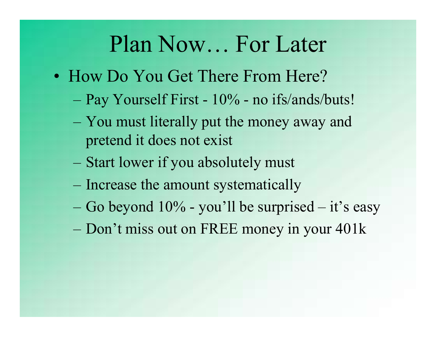### Plan Now… For Later

- Plan Now... For Later<br>• How Do You Get There From Here?<br>– Pay Yourself First 10% no ifs/ands/buts!
	-
	- Plan Now... For Later<br>
	How Do You Get There From Here?<br>
	 Pay Yourself First 10% no ifs/ands/buts!<br>
	 You must literally put the money away and **Plan Now... For Later**<br>How Do You Get There From Here?<br>- Pay Yourself First - 10% - no ifs/ands/buts!<br>- You must literally put the money away and<br>pretend it does not exist pretend it does not exist FIAH INOW... FOI LATE<br>
	How Do You Get There From Here?<br>
	- Pay Yourself First - 10% - no ifs/ands/buts!<br>
	- You must literally put the money away and<br>
	pretend it does not exist<br>
	- Start lower if you absolutely must<br>
	- Incre How Do You Get There From Here?<br>
	- Pay Yourself First - 10% - no ifs/ands/buts!<br>
	- You must literally put the money away and<br>
	pretend it does not exist<br>
	- Start lower if you absolutely must<br>
	- Increase the amount systemati – Pay Yourself First - 10% - no ifs/ands/buts!<br>– You must literally put the money away and<br>pretend it does not exist<br>– Start lower if you absolutely must<br>– Increase the amount systematically<br>– Go beyond 10% - you'll be sur
	- Start lower if you absolutely must
	-
	-
	-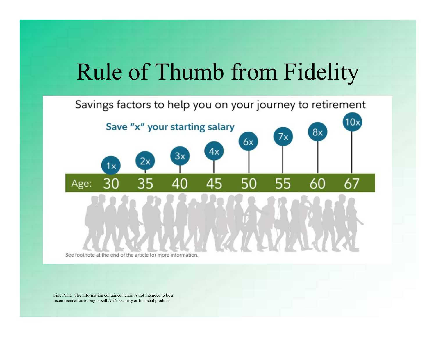### Rule of Thumb from Fidelity

#### Savings factors to help you on your journey to retirement  $10x$ Save "x" your starting salary 8x 7x 6x  $4x$  $3x$ 2x 1x 40 50 55 60 67 45 Age:

See footnote at the end of the article for more information

Fine Print: The information contained herein is not intended to be a recommendation to buy or sell ANY security or financial product.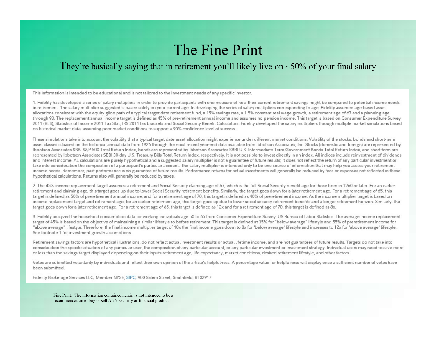#### The Fine Print

#### They're basically saying that in retirement you'll likely live on  $\sim$ 50% of your final salary

This information is intended to be educational and is not tailored to the investment needs of any specific investor.

1. Fidelity has developed a series of salary multipliers in order to provide participants with one measure of how their current retirement savings might be compared to potential income needs in retirement. The salary multiplier suggested is based solely on your current age. In developing the series of salary multipliers corresponding to age, Fidelity assumed age-based asset allocations consistent with the equity glide path of a typical target date retirement fund, a 15% savings rate, a 1.5% constant real wage growth, a retirement age of 67 and a planning age through 93. The replacement annual income target is defined as 45% of pre-retirement annual income and assumes no pension income. This target is based on Consumer Expenditure Survey 2011 (BLS), Statistics of Income 2011 Tax Stat, IRS 2014 tax brackets and Social Security Benefit Calculators. Fidelity developed the salary multipliers through multiple market simulations based on historical market data, assuming poor market conditions to support a 90% confidence level of success.

These simulations take into account the volatility that a typical target date asset allocation might experience under different market conditions. Volatility of the stocks, bonds and short-term asset classes is based on the historical annual data from 1926 through the most recent vear-end data available from Ibbotson Associates. Inc. Stocks (domestic and foreign) are represented by Ibbotson Associates SBBI S&P 500 Total Return Index, bonds are represented by Ibbotson Associates SBBI U.S. Intermediate Term Government Bonds Total Return Index, and short term are represented by Ibbotson Associates SBBI 30-day U.S. Treasury Bills Total Return Index, respectively. It is not possible to invest directly in an index. All indices include reinvestment of dividends and interest income. All calculations are purely hypothetical and a suggested salary multiplier is not a guarantee of future results; it does not reflect the return of any particular investment or take into consideration the composition of a participant's particular account. The salary multiplier is intended only to be one source of information that may help you assess your retirement income needs. Remember, past performance is no guarantee of future results. Performance returns for actual investments will generally be reduced by fees or expenses not reflected in these hypothetical calculations. Returns also will generally be reduced by taxes.

2. The 45% income replacement target assumes a retirement and Social Security claiming age of 67, which is the full Social Security benefit age for those born in 1960 or later. For an earlier retirement and claiming age, this target goes up due to lower Social Security retirement benefits. Similarly, the target goes down for a later retirement age. For a retirement age of 65, this target is defined as 50% of preretirement annual income, and for a retirement age of 70, this target is defined as 40% of preretirement income. As the income multiplier target is based on income replacement target and retirement age, for an earlier retirement age, this target goes up due to lower social security retirement benefits and a longer retirement horizon. Similarly, the target goes down for a later retirement age. For a retirement age of 65, this target is defined as 12x and for a retirement age of 70, this target is defined as 8x.

3. Fidelity analyzed the household consumption data for working individuals age 50 to 65 from Consumer Expenditure Survey, US Bureau of Labor Statistics. The average income replacement target of 45% is based on the objective of maintaining a similar lifestyle to before retirement. This target is defined at 35% for "below average" lifestyle and 55% of preretirement income for "above average" lifestyle. Therefore, the final income multiplier target of 10x the final income goes down to 8x for 'below average' lifestyle and increases to 12x for 'above average' lifestyle. See footnote 1 for investment growth assumptions.

Retirement savings factors are hypothetical illustrations, do not reflect actual investment results or actual lifetime income, and are not guarantees of future results. Targets do not take into consideration the specific situation of any particular user, the composition of any particular account, or any particular investment or investment strategy. Individual users may need to save more or less than the savings target displayed depending on their inputs retirement age, life expectancy, market conditions, desired retirement lifestyle, and other factors.

Votes are submitted voluntarily by individuals and reflect their own opinion of the article's helpfulness. A percentage value for helpfulness will display once a sufficient number of votes have been submitted.

Fidelity Brokerage Services LLC, Member NYSE, SIPC, 900 Salem Street, Smithfield, RI 02917

Fine Print: The information contained herein is not intended to be a recommendation to buy or sell ANY security or financial product.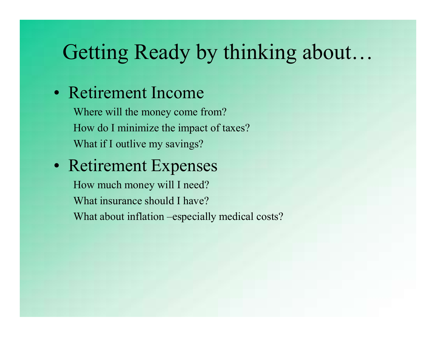### Getting Ready by thinking about…

Getting Ready by thinki<br>• Retirement Income<br>Where will the money come from?<br>How do I minimize the impact of taxes? Where will the money come from? How do I minimize the impact of taxes? What if I outlive my savings?

### • Retirement Expenses

How much money will I need? What insurance should I have? What about inflation –especially medical costs?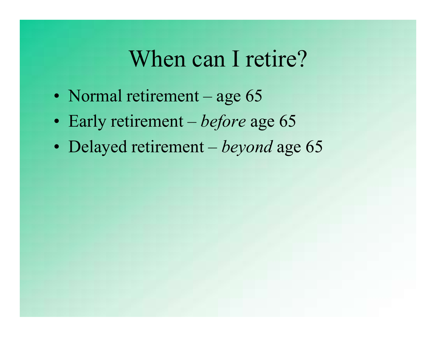### When can I retire?

- 
- When can I retire?<br>• Normal retirement age 65<br>• Early retirement *before* age 65
- When can I retire?<br>• Normal retirement age 65<br>• Early retirement *before* age 65<br>• Delayed retirement *beyond* age 65 When can I retire?<br>• Normal retirement – age 65<br>• Early retirement – *before* age 65<br>• Delayed retirement – *beyond* age 65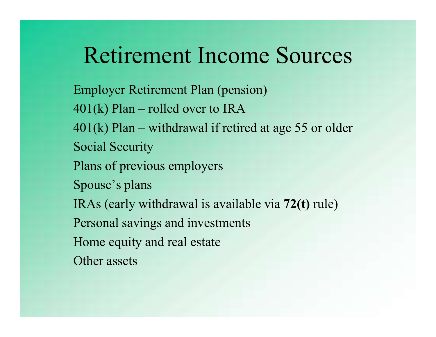### Retirement Income Sources

Employer Retirement Plan (pension) Retirement Income Sources<br>Employer Retirement Plan (pension)<br>401(k) Plan – rolled over to IRA<br>401(k) Plan – withdrawal if retired at age 55 or older<br>Social Security **Retirement Income Sources**<br>
Employer Retirement Plan (pension)<br>
401(k) Plan – rolled over to IRA<br>
401(k) Plan – withdrawal if retired at age 55 or older<br>
Social Security<br>
Plans of previous employers Social Security Plans of previous employers Spouse's plans IRAs (early withdrawal is available via 72(t) rule) Personal savings and investments Home equity and real estate Other assets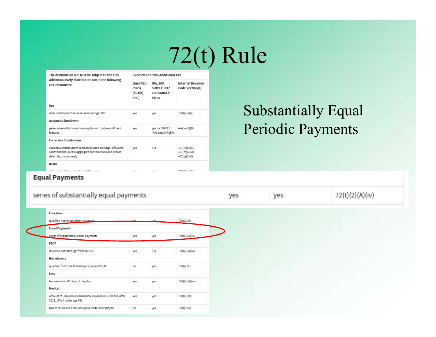### 72(t) Rule

| The distribution will NOT be subject to the 10%                                                                                                    | <b>Exception to 10% Additional Tax</b>         |                                                 |                                                   |  |
|----------------------------------------------------------------------------------------------------------------------------------------------------|------------------------------------------------|-------------------------------------------------|---------------------------------------------------|--|
| additional early distribution tax in the following<br>circumstances:                                                                               | <b>Oualified</b><br>Plans<br>(401(k),<br>etc.) | IRA, SEP,<br>SIMPLE IRA*<br>and SARSEP<br>Plans | <b>Internal Revenue</b><br>Code Section(s)        |  |
| Age                                                                                                                                                |                                                |                                                 |                                                   |  |
| after participant/IRA owner reaches age 591/2                                                                                                      | yes                                            | yes                                             | 72(t)(2)(A)(i)                                    |  |
| <b>Automatic Enrollment</b>                                                                                                                        |                                                |                                                 |                                                   |  |
| permissive withdrawals from a plan with auto enrollment<br>features                                                                                | yes                                            | yes for SIMPLE<br>IRAs and SARSEPs.             | 414(w)(1)(B)                                      |  |
| <b>Corrective Distributions</b>                                                                                                                    |                                                |                                                 |                                                   |  |
| corrective distributions (and associated earnings) of excess<br>contributions, excess aggregate contributions and excess<br>deferrals, made timely | yes                                            | n/a                                             | $401(k)(8)(D)$ ,<br>401(m)(7)(A),<br>402(g)(2)(C) |  |
| Death                                                                                                                                              |                                                |                                                 |                                                   |  |
| where death of the monitor and BBA compa-                                                                                                          |                                                | ----                                            | アクルトリクソルトバス                                       |  |

### Substantially Equal Periodic Payments

#### **Equal Payments**

| series of substantially equal payments                                                  |     |      |                  | yes | yes | 72(t)(2)(A)(iv) |
|-----------------------------------------------------------------------------------------|-----|------|------------------|-----|-----|-----------------|
| Education                                                                               |     |      |                  |     |     |                 |
| qualified higher education expenses                                                     |     | 1/0C | 72(t)(2)(E)      |     |     |                 |
| <b>Equal Payments</b>                                                                   |     |      |                  |     |     |                 |
| series of substantially equal payments                                                  | yes | yes  | 72(t)(2)(A)(iv)  |     |     |                 |
| <b>ESOP</b>                                                                             |     |      |                  |     |     |                 |
| dividend pass through from an ESOP                                                      | yes | n/a  | 72(t)(2)(A)(vi)  |     |     |                 |
| Homebuyers                                                                              |     |      |                  |     |     |                 |
| qualified first-time homebuyers, up to \$10,000                                         | no  | yes  | 72(t)(2)(F)      |     |     |                 |
| Levy                                                                                    |     |      |                  |     |     |                 |
| because of an IRS levy of the plan                                                      | yes | yes  | 72(t)(2)(A)(vii) |     |     |                 |
| Medical                                                                                 |     |      |                  |     |     |                 |
| amount of unreimbursed medical expenses (>7.5% AGI; after<br>2012, 10% if under age 65) | yes | yes  | 72(t)(2)(B)      |     |     |                 |
| health insurance premiums paid while unemployed                                         | no  | yes  | 72(t)(2)(D)      |     |     |                 |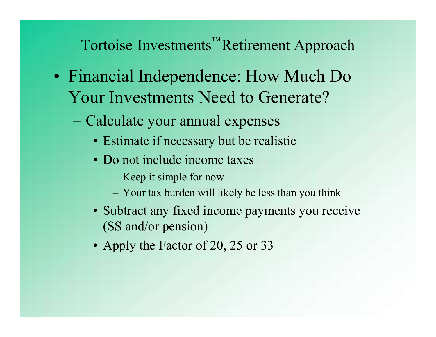- Tortoise Investments<sup>™</sup>Retirement Approach<br>
Solinancial Independence: How Much Do Tortoise Investments<sup>™</sup>Retirement Approach<br>• Financial Independence: How Much Do<br>Your Investments Need to Generate? Your Investments Need to Generate? Tortoise Investments<sup>™</sup>Retirement Approace<br>
Financial Independence: How Much De<br>
Your Investments Need to Generate?<br>
– Calculate your annual expenses<br>
• Estimate if necessary but be realistic<br>
• Do not include income taxe Trousse Investments<sup>™</sup>Retirement Approach<br>
ancial Independence: How Much Do<br>
ur Investments Need to Generate?<br>
Calculate your annual expenses<br>
• Estimate if necessary but be realistic<br>
• Do not include income taxes<br>
– Kee The Investments<sup>™</sup>Retirement App<br>
ancial Independence: How Mucl<br>
Ir Investments Need to Generate<br>
Calculate your annual expenses<br>
• Estimate if necessary but be realistic<br>
• Do not include income taxes<br>
– Keep it simple f bise Investments<sup>™</sup>Retirement Approac<br>
id Independence: How Much Do<br>
nvestments Need to Generate?<br>
ulate your annual expenses<br>
stimate if necessary but be realistic<br>
o not include income taxes<br>
– Keep it simple for now<br>
– Fristand Independence: How Much Do<br>
Investments Need to Generate?<br>
ulate your annual expenses<br>
stimate if necessary but be realistic<br>
o not include income taxes<br>
- Keep it simple for now<br>
- Your tax burden will likely be l **EXECT:** The Much Do<br>
In Investments Need to Generate?<br>
Calculate your annual expenses<br>
• Estimate if necessary but be realistic<br>
• Do not include income taxes<br>
– Keep it simple for now<br>
– Your tax burden will likely be le
	- -
		- -
			-
- (SS and/or pension) Calculate your annual expenses<br>
• Estimate if necessary but be realis<br>
• Do not include income taxes<br>
– Keep it simple for now<br>
– Your tax burden will likely be less the<br>
• Subtract any fixed income paymer<br>
(SS and/or pen
	-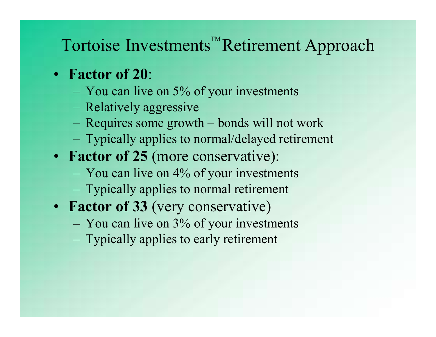# Tortoise Investments<sup>™</sup>Retirement Approach<br>Factor of 20: The Same of the Summary Summary Set of the Sandy State of 20:<br>
The Sactor of 20:<br>
The You can live on 5% of your investments<br>
The Relatively aggressive<br>
The Requires some growth – bonds will not work The Investments<sup>™</sup>Retiren<br>Factor of 20:<br>– You can live on 5% of your invest<br>– Relatively aggressive<br>– Requires some growth – bonds will<br>– Typically applies to normal/delayed ortoise Investments<sup>™</sup>Retirement Approach<br>Factor of 20:<br>– You can live on 5% of your investments<br>– Relatively aggressive<br>– Requires some growth – bonds will not work<br>– Typically applies to normal/delayed retirement<br>Factor **Contraint and SET and Terminal SET and Terminal Server Theorem CP and Telection - You can live on 5% of your investments<br>
— Relatively aggressive<br>
— Requires some growth – bonds will not work<br>
— Typically applies to nor**

- Factor of 20:
	-
	-
	-
- Factor of 20:<br>
 You can live on 5% of your investments<br>
 Relatively aggressive<br>
 Requires some growth bonds will not work<br>
 Typically applies to normal/delayed retirement<br>
Factor of 25 (more conservative):<br>
 You ca – You can live on 5% of your investments<br>– Relatively aggressive<br>– Requires some growth – bonds will not work<br>– Typically applies to normal/delayed retirement<br>**Factor of 25** (more conservative):<br>– You can live on 4% of yo
- Factor of 25 (more conservative):
	- You can live on 4% of your investments
	-
- Factor of 33 (very conservative) – Relatively aggressive<br>– Requires some growth – bonds will  $-$ <br>– Typically applies to normal/delayed<br>Factor of 25 (more conservative):<br>– You can live on 4% of your investm<br>– Typically applies to normal retirement<br>Factor
	-
	-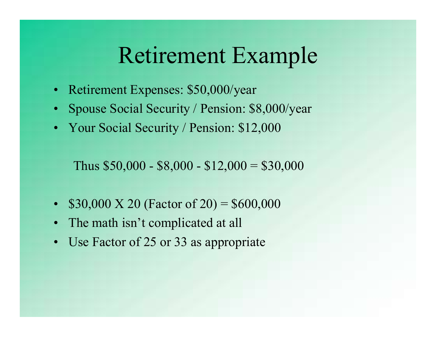# Retirement Example **Retirement Example<br>• Retirement Expenses: \$50,000/year<br>• Spouse Social Security / Pension: \$8,000/year<br>• Nour Social Security / Pension: \$12,000 Parament Example<br>• Retirement Expenses: \$50,000/year**<br>• Spouse Social Security / Pension: \$8,000/year<br>• Your Social Security / Pension: \$12,000 **Retirement Example**<br>• Retirement Expenses: \$50,000/year<br>• Spouse Social Security / Pension: \$8,000/year<br>• Your Social Security / Pension: \$12,000<br>Thus \$50,000 - \$8,000 - \$12,000 = \$30,000

- 
- Retirement Expenses: \$50,000/year<br>
 Spouse Social Security / Pension: \$8,000/year<br>
 Your Social Security / Pension: \$12,000<br>
Thus \$50,000 \$8,000 \$12,000 = \$30,000<br>
 \$30,000 X 20 (Factor of 20) = \$600,000<br>
 The m • Retirement Expenses: \$50,000/year<br>
• Spouse Social Security / Pension: \$8,000/<br>
• Your Social Security / Pension: \$12,000<br>
Thus \$50,000 - \$8,000 - \$12,000 = \$30,0<br>
• \$30,000 X 20 (Factor of 20) = \$600,000<br>
• The math is • Spouse Social Security / Pension: \$8,<br>
• Your Social Security / Pension: \$12,0<br>
Thus \$50,000 - \$8,000 - \$12,000 = \$<br>
• \$30,000 X 20 (Factor of 20) = \$600,0<br>
• The math isn't complicated at all<br>
• Use Factor of 25 or 33
- 

Thus  $$50,000 - $8,000 - $12,000 = $30,000$ 

- 
- 
-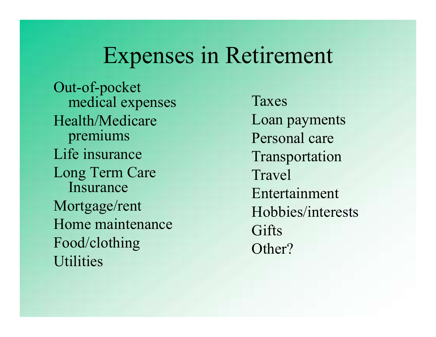### Expenses in Retirement

Out-of-pocket medical expenses Health/Medicare premiums Life insurance Long Term Care Insurance Mortgage/rent Home maintenance Food/clothing **Utilities** 

Taxes Loan payments Personal care Transportation Travel Entertainment Hobbies/interests **Gifts** Other?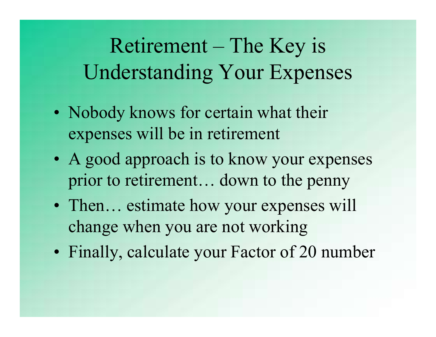# Retirement – The Key is<br>derstanding Your Expenses Understanding Your Expenses **PACKET FORTS FOR THE REV SUMERTS SUMERTS:**<br>• Nobody knows for certain what their expenses will be in retirement **Experiment – The Key is<br>
Understanding Your Expenses<br>
• Nobody knows for certain what their<br>
expenses will be in retirement<br>
• A good approach is to know your expenses<br>
prior to retirement... down to the penny**

- expenses will be in retirement
- prior to retirement… down to the penny • Nobody knows for certain what their<br>• Nobody knows for certain what their<br>• A good approach is to know your expenses<br>prior to retirement... down to the penny<br>• Then... estimate how your expenses will<br>change when you are • Nobody knows for certain what then<br>
• A good approach is to know your expenses<br>
prior to retirement... down to the penny<br>
• Then... estimate how your expenses will<br>
change when you are not working<br>
• Finally, calculate y
- change when you are not working
-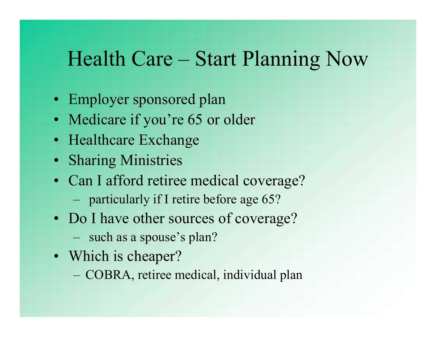# Health Care – Start Planning Now Health Care – Start Plannin<br>• Employer sponsored plan<br>• Medicare if you're 65 or older Health Care – Start Plannin<br>
• Employer sponsored plan<br>
• Medicare if you're 65 or older<br>
• Healthcare Exchange Health Care – Start Plan<br>• Employer sponsored plan<br>• Medicare if you're 65 or older<br>• Healthcare Exchange<br>• Sharing Ministries **• Employer sponsored plan<br>• Employer sponsored plan<br>• Medicare if you're 65 or older<br>• Healthcare Exchange<br>• Sharing Ministries<br>• Can I afford retiree medical coverage?<br>• particularly if I retire before age 65?<br>• Do I hav**

- 
- 
- 
- Sharing Ministries
- Frame Care Start Framing INO<br>
Employer sponsored plan<br>
Medicare if you're 65 or older<br>
Healthcare Exchange<br>
Sharing Ministries<br>
Can I afford retiree medical coverage?<br>
 particularly if I retire before age 65?<br>
Do I have • Employer sponsored plan<br>• Medicare if you're 65 or older<br>• Healthcare Exchange<br>• Sharing Ministries<br>• Can I afford retiree medical coverage?<br>• particularly if I retire before age 65?<br>• Do I have other sources of coverage Healthcare Exchange<br>
Sharing Ministries<br>
Can I afford retiree medical coverage?<br>
– particularly if I retire before age 65?<br>
Do I have other sources of coverage?<br>
– such as a spouse's plan?<br>
Which is cheaper?<br>
– COBRA, reti
	-
- Employer sponsored plan<br>
Medicare if you're 65 or older<br>
Healthcare Exchange<br>
Sharing Ministries<br>
Can I afford retiree medical coverage<br>
 particularly if I retire before age 65?<br>
Do I have other sources of coverage<br>
 suc • Medicare if you're 65 or older<br>• Healthcare Exchange<br>• Sharing Ministries<br>• Can I afford retiree medical cc<br>– particularly if I retire before age<br>• Do I have other sources of cov<br>– such as a spouse's plan?<br>• Which is che
	-
- -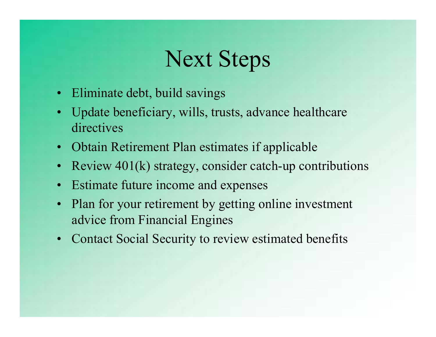### Next Steps

- 
- **Next Steps**<br>• Eliminate debt, build savings<br>• Update beneficiary, wills, trusts, advance directives • Eliminate debt, build savings<br>• Update beneficiary, wills, trusts, advance healthcare<br>• Obtain Retirement Plan estimates if applicable directives **Example 18 Accord SEC SECUS**<br>• Eliminate debt, build savings<br>• Update beneficiary, wills, trusts, advance healthcare<br>• Obtain Retirement Plan estimates if applicable<br>• Review 401(k) strategy, consider catch-up contributio • Eliminate debt, build savings<br>• Update beneficiary, wills, trusts, advance healthcannel experiency.<br>• Obtain Retirement Plan estimates if applicable<br>• Review 401(k) strategy, consider catch-up contrit<br>• Estimate future i
- 
- Review  $401(k)$  strategy, consider catch-up contributions
- 
- Eliminate debt, build savings<br>• Update beneficiary, wills, trusts, advance healthcare<br>directives<br>• Obtain Retirement Plan estimates if applicable<br>• Review 401(k) strategy, consider catch-up contributions<br>• Estimate futur advice from Financial Engines • Update beneficiary, wills, trusts, advance healthcare<br>directives<br>• Obtain Retirement Plan estimates if applicable<br>• Review 401(k) strategy, consider catch-up contribut<br>• Estimate future income and expenses<br>• Plan for you
-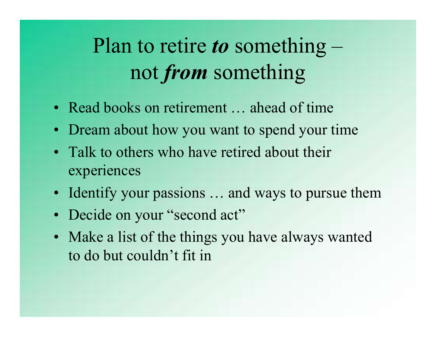## Plan to retire to something  $$ not from something **Plan to retire to something** –<br>not **from** something<br>• Read books on retirement ... ahead of time<br>• Dream about how you want to spend your time **Plan to retire to something** –<br>not **from** something<br>• Read books on retirement ... ahead of time<br>• Dream about how you want to spend your time<br>• Talk to others who have retired about their **Plan to retire to something**<br> **• Read books on retirement** ... ahead of time<br>
• Dream about how you want to spend your time<br>
• Talk to others who have retired about their<br>
• Talk to others who have retired about their<br>
•

- 
- 
- experiences **Example 18 The School Set of the School Set of the**<br>• Dream about how you want to spend your time<br>• Talk to others who have retired about their<br>• Talentify your passions ... and ways to pursue them<br>• Decide on your "secon • Read books on retirement ... ahead of tin<br>• Dream about how you want to spend you<br>• Talk to others who have retired about the experiences<br>• Identify your passions ... and ways to pu<br>• Decide on your "second act"<br>• Make a
- 
- 
- Read books on retirement ... ahead of time<br>• Dream about how you want to spend your time<br>• Talk to others who have retired about their<br>• experiences<br>• Identify your passions ... and ways to pursue them<br>• Decide on your " to do but couldn't fit in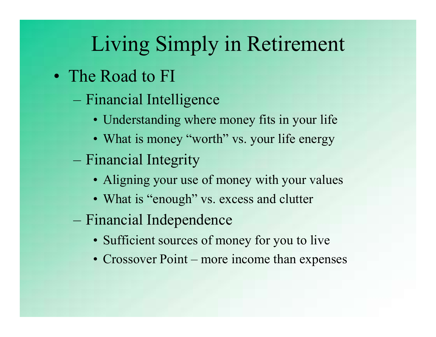## Living Simply in Retirement Living Simply in Living Simply in Retire<br>
The Road to FI<br>
- Financial Intelligence<br>
• Understanding where money fits in<br>
• What is money "worth" ys. your life Living Simply in Retirement<br>
• Road to FI<br>
• Understanding where money fits in your life<br>
• What is money "worth" vs. your life energy<br>
• What is money "worth" vs. your life energy **Living Simply in Retirement**<br>
• Road to FI<br>
• Understanding where money fits in your life<br>
• What is money "worth" vs. your life energy<br>
inancial Integrity Living Simply in Reti<br>
The Road to FI<br>
– Financial Intelligence<br>
• Understanding where money fits i<br>
• What is money "worth" vs. your l<br>
– Financial Integrity<br>
• Aligning your use of money with<br>
• What is "enough" vs. exce LIVING SIMPly IN Retirement<br>
• Road to FI<br>
• Understanding where money fits in your life<br>
• What is money "worth" vs. your life energy<br>
inancial Integrity<br>
• Aligning your use of money with your values<br>
• What is "enough"

- - -
		-
	-
- Road to FI<br>
 Understanding where money fits in your life<br>
 What is money "worth" vs. your life energy<br>
inancial Integrity<br>
 Aligning your use of money with your values<br>
 What is "enough" vs. excess and clutter<br>
inanc - Financial Intelligence<br>
• Understanding where money fits in yo<br>
• What is money "worth" vs. your life e<br>
- Financial Integrity<br>
• Aligning your use of money with your<br>
• What is "enough" vs. excess and clutte<br>
- Financia • Understanding where money fits in your life<br>• What is money "worth" vs. your life energy<br>inancial Integrity<br>• Aligning your use of money with your values<br>• What is "enough" vs. excess and clutter<br>inancial Independence<br>• • Understanding where money fits in your life<br>• What is money "worth" vs. your life energy<br>inancial Integrity<br>• Aligning your use of money with your values<br>• What is "enough" vs. excess and clutter<br>inancial Independence<br>•
	-
	- -
		-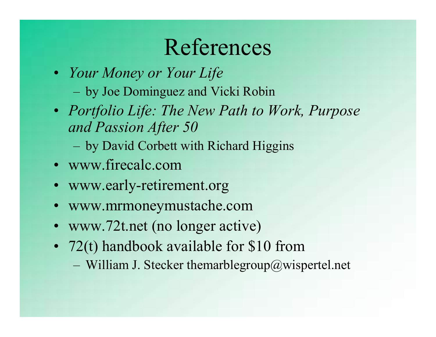### References

- Your Money or Your Life
	-
- **Example 15 ACCED References**<br>
Vour Money or Your Life<br>
 by Joe Dominguez and Vicki Robin<br>
Portfolio Life: The New Path to Work, Purpose<br>
and Passion After 50 • Portfolio Life: The New Path to Work, Purpose and Passion After 50 References<br>
Your Money or Your Life<br>
– by Joe Dominguez and Vicki Robin<br>
Portfolio Life: The New Path to Work, Purpose<br>
and Passion After 50<br>
– by David Corbett with Richard Higgins<br>
www.firecalc.com **ELETENCES**<br>• Your Money or Your Life<br>- by Joe Dominguez and Vicki Robin<br>• Portfolio Life: The New Path to Work, I<br>and Passion After 50<br>- by David Corbett with Richard Higgins<br>• www.firecalc.com<br>• www.early-retirement.org<br> • Your Money or Your Life<br>
– by Joe Dominguez and Vicki Robin<br>
• *Portfolio Life: The New Path to Work, Purpose*<br>
and Passion After 50<br>
– by David Corbett with Richard Higgins<br>
• www.firecalc.com<br>
• www.early-retirement.o - by Joe Dominguez and Vicki Robin<br>
• *Portfolio Life: The New Path to Work, P*<br> *and Passion After 50*<br>
- by David Corbett with Richard Higgins<br>
• www.firecalc.com<br>
• www.early-retirement.org<br>
• www.mrmoneymustache.com<br> • *Portfolio Life: The New Path to Work, Purpose*<br> *and Passion After 50*<br>
– by David Corbett with Richard Higgins<br>
• www.firecalc.com<br>
• www.early-retirement.org<br>
• www.mrmoneymustache.com<br>
• www.72t.net (no longer activ
	-
- www.firecalc.com
- 
- 
- 
- and Passion After 50<br>
 by David Corbett with Richard Higgins<br>
www.firecalc.com<br>
www.early-retirement.org<br>
www.mrmoneymustache.com<br>
www.72t.net (no longer active)<br>
72(t) handbook available for \$10 from<br>
 William J. Stecke
	-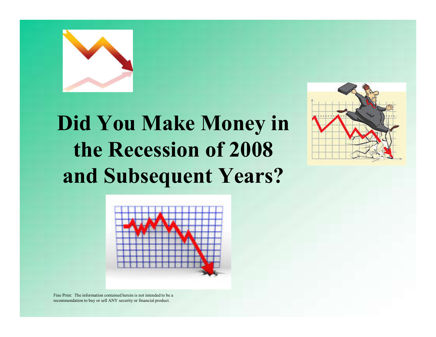

### Did You Make Money in the Recession of 2008 and Subsequent Years?



Fine Print: The information contained herein is not intended to be a recommendation to buy or sell ANY security or financial product.

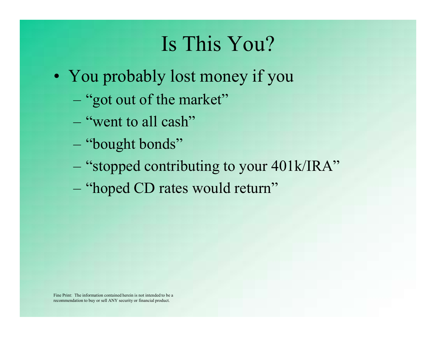### Is This You?

- Is This You?<br>• You probably lost money if you<br>– "got out of the market" Is This You?<br>
You probably lost money if you<br>
– "got out of the market"<br>
– "went to all cash" Is This You"<br>
You probably lost money if<br>
- "got out of the market"<br>
- "went to all cash"<br>
- "bought bonds" The Time Teat.<br>
You probably lost money if ye-<br>
"got out of the market"<br>
- "went to all cash"<br>
- "bought bonds"<br>
- "stopped contributing to your 4<br>
- "hoped CD rates would return"
	-
	-
	-
	- Is This You?<br>
	You probably lost money if you<br>
	 "got out of the market"<br>
	 "went to all cash"<br>
	 "bought bonds"<br>
	 "stopped contributing to your 401k/IRA"
	-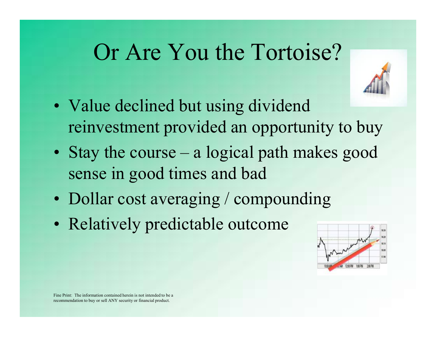### Or Are You the Tortoise?



- sense in good times and bad
- 
- 

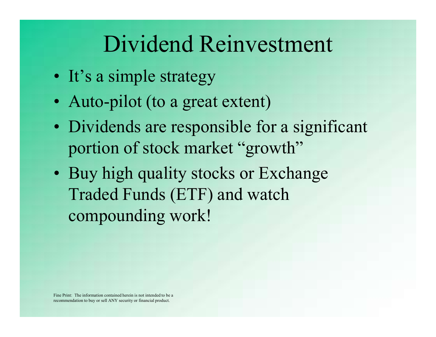# Dividend Reinvestment Dividend Reinvestn<br>• It's a simple strategy<br>• Auto-pilot (to a great extent)

- 
- 
- Dividend Reinvestmen<br>• It's a simple strategy<br>• Auto-pilot (to a great extent)<br>• Dividends are responsible for a signi **Dividend Reinvestment**<br>• It's a simple strategy<br>• Auto-pilot (to a great extent)<br>• Dividends are responsible for a significant<br>portion of stock market "growth" portion of stock market "growth"
- Buy high quality stocks or Exchange Traded Funds (ETF) and watch compounding work!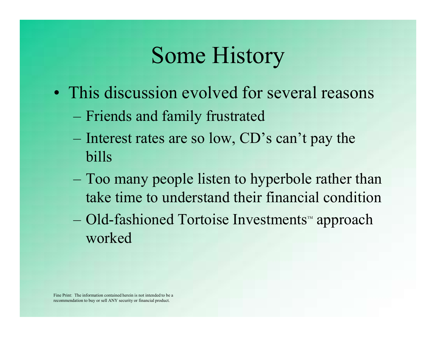### Some History

- Some History<br>• This discussion evolved for several reasons<br>– Friends and family frustrated
	-
	- Some History<br>
	This discussion evolved for several reas<br>
	 Friends and family frustrated<br>
	 Interest rates are so low, CD's can't pay th Some History<br>
	This discussion evolved for several reasons<br>
	– Friends and family frustrated<br>
	– Interest rates are so low, CD's can't pay the<br>
	bills<br>
	Too many pagels ligter to by pagels a mthar than bills
	- **Some History**<br>
	This discussion evolved for several reasons<br>
	 Friends and family frustrated<br>
	 Interest rates are so low, CD's can't pay the<br>
	bills<br>
	 Too many people listen to hyperbole rather than<br>
	take time to understa take time to understand their financial condition This discussion evolved for several reasons<br>
	– Friends and family frustrated<br>
	– Interest rates are so low, CD's can't pay the<br>
	bills<br>
	– Too many people listen to hyperbole rather than<br>
	take time to understand their financi
	- worked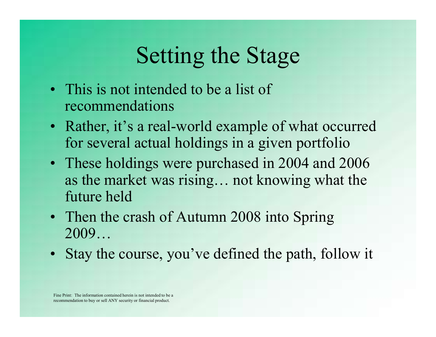### Setting the Stage

- **Setting the Stage**<br>• This is not intended to be a list of<br>• Rather it's a real-world example of what recommendations
- **Setting the Stage<br>• This is not intended to be a list of<br>• Rather, it's a real-world example of what occurred<br>• Rather, it's a real-world example of what occurred<br>• These holdings were purchased in 2004 and 2006** for several actual holdings in a given portfolio
- These holdings were purchased in 2004 and 2006 as the market was rising… not knowing what the future held • This is not intended to be a list of<br>
• Rather, it's a real-world example of what occurred<br>
for several actual holdings in a given portfolio<br>
• These holdings were purchased in 2004 and 2006<br>
• as the market was rising.. • Rather, it's a real-world example of what occurred<br>for several actual holdings in a given portfolio<br>• These holdings were purchased in 2004 and 2006<br>as the market was rising... not knowing what the<br>future held<br>• Then the
- 2009…
-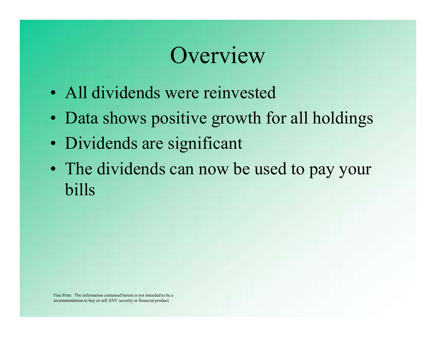### **Overview**

- 
- Overview<br>• All dividends were reinvested<br>• Data shows positive growth for all holdin Verview<br>• All dividends were reinvested<br>• Data shows positive growth for all holdings<br>• Dividends are significant
- 
- **COVETVIEW**<br>• All dividends were reinvested<br>• Data shows positive growth for<br>• Dividends are significant<br>• The dividends can now be used • The dividends can now be used to pay your bills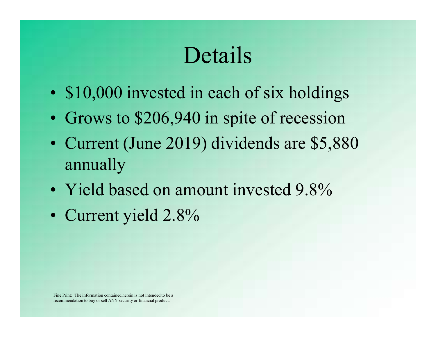### Details

- Details<br>• \$10,000 invested in each of six holdings<br>• Grows to \$206,940 in spite of recession
- 
- **Details**<br>• \$10,000 invested in each of six holdings<br>• Grows to \$206,940 in spite of recession<br>• Current (June 2019) dividends are \$5,880 **Details**<br>• \$10,000 invested in each of six holdings<br>• Grows to \$206,940 in spite of recession<br>• Current (June 2019) dividends are \$5,880<br>annually annually **Details**<br>
• \$10,000 invested in each of six holdings<br>
• Grows to \$206,940 in spite of recession<br>
• Current (June 2019) dividends are \$5,880<br>
annually<br>
• Yield based on amount invested 9.8%<br>
• Current yield 2.8% • \$10,000 invested in each<br>• Grows to \$206,940 in spin<br>• Current (June 2019) divided annually<br>• Yield based on amount in<br>• Current yield 2.8%
- 
-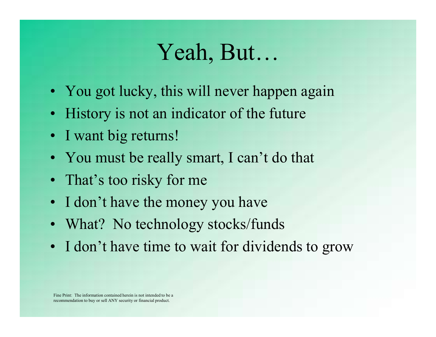### Yeah, But…

- Veah, But...<br>• You got lucky, this will never happen again<br>• History is not an indicator of the future Veah, But...<br>• You got lucky, this will never happen again<br>• History is not an indicator of the future<br>• I want big returns! Yeah, Bu<br>• You got lucky, this will never<br>• History is not an indicator of<br>• I want big returns!<br>• You must be really smart, I ca Yeah, But...<br>• You got lucky, this will never happen again<br>• History is not an indicator of the future<br>• I want big returns!<br>• You must be really smart, I can't do that<br>• That's too risky for me Yeah, But...<br>• You got lucky, this will never happ<br>• History is not an indicator of the fu<br>• I want big returns!<br>• You must be really smart, I can't d<br>• That's too risky for me<br>• I don't have the money you have • You got lucky, this will never happen again<br>• History is not an indicator of the future<br>• I want big returns!<br>• You must be really smart, I can't do that<br>• That's too risky for me<br>• I don't have the money you have<br>• What
- 
- 
- 
- 
- 
- 
- You got lucky, this will never happen again<br>• History is not an indicator of the future<br>• I want big returns!<br>• You must be really smart, I can't do that<br>• That's too risky for me<br>• I don't have the money you have<br>• What • History is not an indicator of the future<br>• I want big returns!<br>• You must be really smart, I can't do that<br>• That's too risky for me<br>• I don't have the money you have<br>• What? No technology stocks/funds<br>• I don't have ti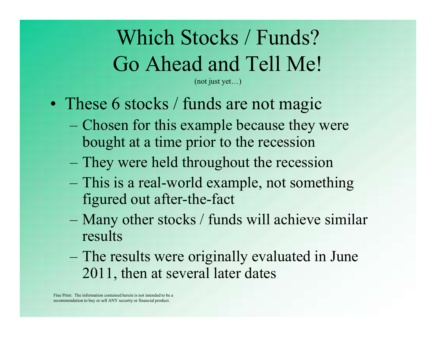## Which Stocks / Funds? Go Ahead and Tell Me! Which Stocks / Funds?<br>
Go Ahead and Tell Me!<br>
• These 6 stocks / funds are not magic<br>
– Chosen for this example because they were<br>
bought at a time prior to the recession Which Stocks / Funds?<br>
Go Ahead and Tell Me!<br>
These 6 stocks / funds are not magic<br>
– Chosen for this example because they were<br>
bought at a time prior to the recession<br>
– They were held throughout the recession

(not just yet…)

- 
- bought at a time prior to the recession Go Ahead and Tell Me!<br>
These 6 stocks / funds are not magic<br>
— Chosen for this example because they were<br>
bought at a time prior to the recession<br>
— They were held throughout the recession<br>
— This is a real-world example,
	- They were held throughout the recession
	- figured out after-the-fact
- These 6 stocks / funds are not magic<br>
 Chosen for this example because they were<br>
bought at a time prior to the recession<br>
 They were held throughout the recession<br>
 This is a real-world example, not something<br>
figured results – Chosen for this example because they were<br>bought at a time prior to the recession<br>– They were held throughout the recession<br>– This is a real-world example, not something<br>figured out after-the-fact<br>– Many other stocks / f
	- 2011, then at several later dates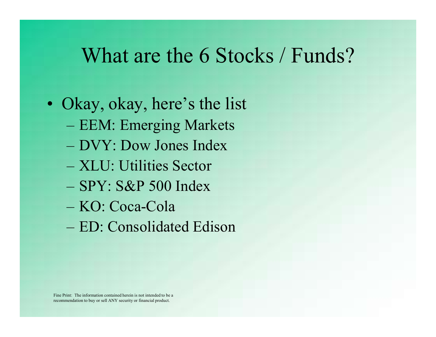## What are the 6 Stocks / Funds? What are the 6 Stocks /<br>• Okay, okay, here's the list<br>– EEM: Emerging Markets<br>NW: Daw Jones Index What are the 6 Stocks / F<br>Dkay, okay, here's the list<br>– EEM: Emerging Markets<br>– DVY: Dow Jones Index<br>– YUU Utilities Sector What are the 6 Stocks / Fu<br>Dkay, okay, here's the list<br>– EEM: Emerging Markets<br>– DVY: Dow Jones Index<br>– XLU: Utilities Sector What are the 6 Stocks /<br>Dkay, okay, here's the list<br>– EEM: Emerging Markets<br>– DVY: Dow Jones Index<br>– XLU: Utilities Sector<br>– SPY: S&P 500 Index<br>– KO: Coca-Cola

- )<br>Kay, okay, here's the list<br>- EEM: Emerging Markets<br>- DVY: Dow Jones Index<br>- XLU: Utilities Sector<br>- SPY: S&P 500 Index<br>- KO: Coca-Cola<br>- ED: Consolidated Edison Okay, okay, here's the list<br>
– EEM: Emerging Markets<br>
– DVY: Dow Jones Index<br>
– XLU: Utilities Sector<br>
– SPY: S&P 500 Index<br>
– KO: Coca-Cola<br>
– ED: Consolidated Edison
	-
	-
	- XLU: Utilities Sector
	-
	-
	-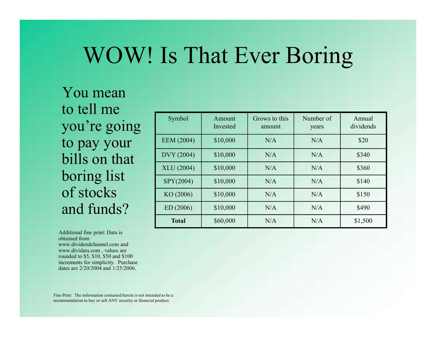### WOW! Is That Ever Boring

You mean to tell me you're going to pay your bills on that boring list of stocks and funds?

Additional fine print: Data is obtained from www.dividendchannel.com and www.dividata.com , values are rounded to \$5, \$10, \$50 and \$100 increments for simplicity. Purchase dates are 2/20/2004 and 1/25/2006.

| Symbol            | Amount<br>Invested | Grows to this<br>amount | Number of<br>years | Annual<br>dividends |
|-------------------|--------------------|-------------------------|--------------------|---------------------|
| <b>EEM</b> (2004) | \$10,000           | N/A                     | N/A                | \$20                |
| DVY (2004)        | \$10,000           | N/A                     | N/A                | \$340               |
|                   |                    |                         |                    |                     |
| <b>XLU</b> (2004) | \$10,000           | N/A                     | N/A                | \$360               |
| SPY(2004)         | \$10,000           | N/A                     | N/A                | \$140               |
| KO (2006)         | \$10,000           | N/A                     | N/A                | \$150               |
| ED(2006)          | \$10,000           | N/A                     | N/A                | \$490               |

Fine Print: The information contained herein is not intended to be a recommendation to buy or sell ANY security or financial product.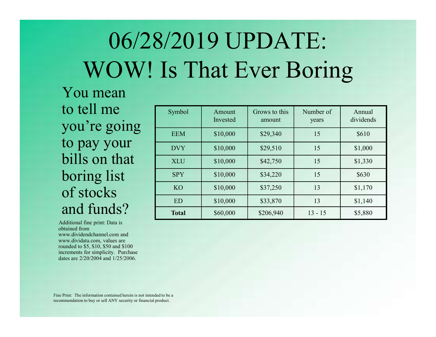# 06/28/2019 UPDATE: WOW! Is That Ever Boring 2019 UPDATE:<br>
S That Ever Boring<br>
Symbol Amount Grows to this Number of Annual<br>
EEM S10,000 S29,340 15 S610<br>
NUX S10,000 S29,340 15 S610

You mean to tell me you're going to pay your bills on that boring list of stocks and funds?

Additional fine print: Data is obtained from www.dividendchannel.com and www.dividata.com, values are rounded to \$5, \$10, \$50 and \$100 increments for simplicity. Purchase dates are 2/20/2004 and 1/25/2006.

|            |          | 8/2019 UPDATE:<br>Is That Ever Boring |           |           |
|------------|----------|---------------------------------------|-----------|-----------|
| Symbol     | Amount   | Grows to this                         | Number of | Annual    |
|            | Invested | amount                                | years     | dividends |
| <b>EEM</b> | \$10,000 | \$29,340                              | 15        | \$610     |
| <b>DVY</b> | \$10,000 | \$29,510                              | 15        | \$1,000   |
| <b>XLU</b> | \$10,000 | \$42,750                              | 15        | \$1,330   |
| <b>SPY</b> | \$10,000 | \$34,220                              | 15        | \$630     |
| <b>KO</b>  | \$10,000 | \$37,250                              | 13        | \$1,170   |
|            | \$10,000 | \$33,870                              | 13        | \$1,140   |
| <b>ED</b>  |          |                                       |           |           |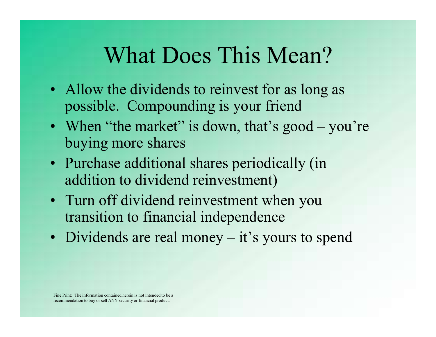### What Does This Mean?

- What Does This Mean?<br>• Allow the dividends to reinvest for as long as<br>• When "the market" is down that's good you're possible. Compounding is your friend
- What Does This Mean?<br>• Allow the dividends to reinvest for as long as<br>possible. Compounding is your friend<br>• When "the market" is down, that's good you're<br>buying more shares buying more shares • Allow the dividends to reinvest for as long as<br>possible. Compounding is your friend<br>• When "the market" is down, that's good – you're<br>buying more shares<br>• Purchase additional shares periodically (in<br>addition to dividend possible. Compounding is your friend<br>
• When "the market" is down, that's good – you're<br>
buying more shares<br>
• Purchase additional shares periodically (in<br>
addition to dividend reinvestment)<br>
• Turn off dividend reinvestme
- Purchase additional shares periodically (in addition to dividend reinvestment)
- transition to financial independence
-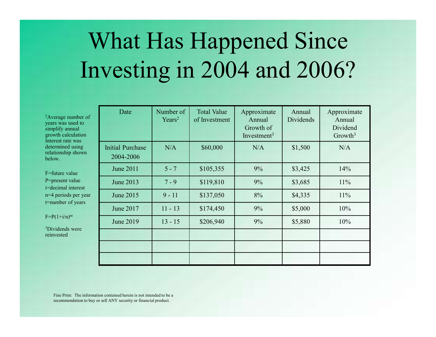# What Has Happened Since Investing in 2004 and 2006? Date Number of

2Average number of years was used to simplify annual growth calculation Interest rate was determined using relationship shown below.

F=future value P=present value i=decimal interest n=4 periods per year t=number of years

 $F=P(1+i/n)^{nt}$ 

3Dividends were reinvested

| <b>Vhat Has Happened Since</b><br>vesting in 2004 and 2006? |                                 |                                     |                                                      |                     |                                                          |
|-------------------------------------------------------------|---------------------------------|-------------------------------------|------------------------------------------------------|---------------------|----------------------------------------------------------|
| Date                                                        | Number of<br>Years <sup>2</sup> | <b>Total Value</b><br>of Investment | Approximate<br>Annual<br>Growth of<br>Investment $3$ | Annual<br>Dividends | Approximate<br>Annual<br>Dividend<br>Growth <sup>3</sup> |
| <b>Initial Purchase</b><br>2004-2006                        | N/A                             | \$60,000                            | N/A                                                  | \$1,500             | N/A                                                      |
| <b>June 2011</b>                                            | $5 - 7$                         | \$105,355                           | 9%                                                   | \$3,425             | 14%                                                      |
| June 2013                                                   | $7 - 9$                         | \$119,810                           | 9%                                                   | \$3,685             | 11%                                                      |
| June 2015                                                   | $9 - 11$                        | \$137,050                           | 8%                                                   | \$4,335             | 11%                                                      |
| June 2017                                                   | $11 - 13$                       | \$174,450                           | 9%                                                   | \$5,000             | 10%                                                      |
| June 2019                                                   | $13 - 15$                       | \$206,940                           | 9%                                                   | \$5,880             | 10%                                                      |
|                                                             |                                 |                                     |                                                      |                     |                                                          |
|                                                             |                                 |                                     |                                                      |                     |                                                          |
|                                                             |                                 |                                     |                                                      |                     |                                                          |